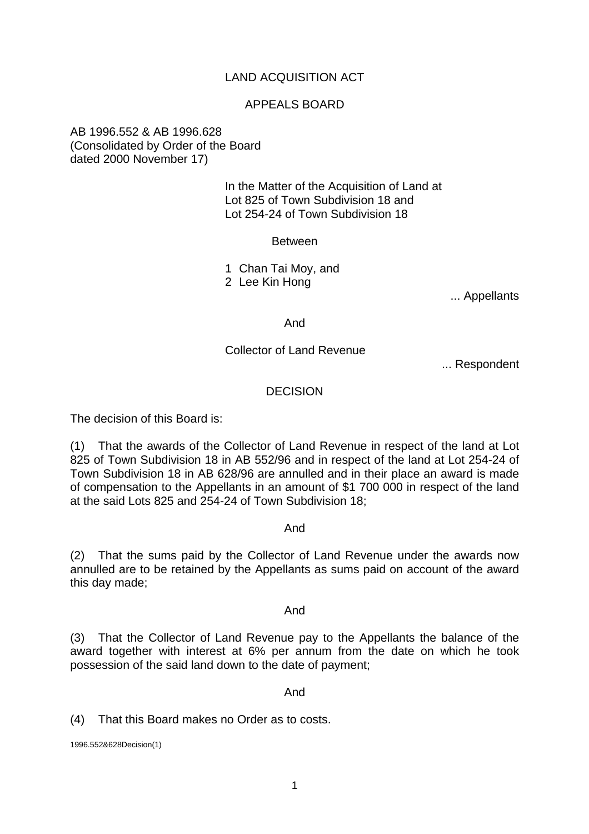# LAND ACQUISITION ACT

## APPEALS BOARD

## AB 1996.552 & AB 1996.628 (Consolidated by Order of the Board dated 2000 November 17)

 In the Matter of the Acquisition of Land at Lot 825 of Town Subdivision 18 and Lot 254-24 of Town Subdivision 18

Between

 1 Chan Tai Moy, and 2 Lee Kin Hong

... Appellants

And

#### Collector of Land Revenue

... Respondent

#### **DECISION**

The decision of this Board is:

(1) That the awards of the Collector of Land Revenue in respect of the land at Lot 825 of Town Subdivision 18 in AB 552/96 and in respect of the land at Lot 254-24 of Town Subdivision 18 in AB 628/96 are annulled and in their place an award is made of compensation to the Appellants in an amount of \$1 700 000 in respect of the land at the said Lots 825 and 254-24 of Town Subdivision 18;

And

(2) That the sums paid by the Collector of Land Revenue under the awards now annulled are to be retained by the Appellants as sums paid on account of the award this day made;

And

(3) That the Collector of Land Revenue pay to the Appellants the balance of the award together with interest at 6% per annum from the date on which he took possession of the said land down to the date of payment;

And

(4) That this Board makes no Order as to costs.

1996.552&628Decision(1)